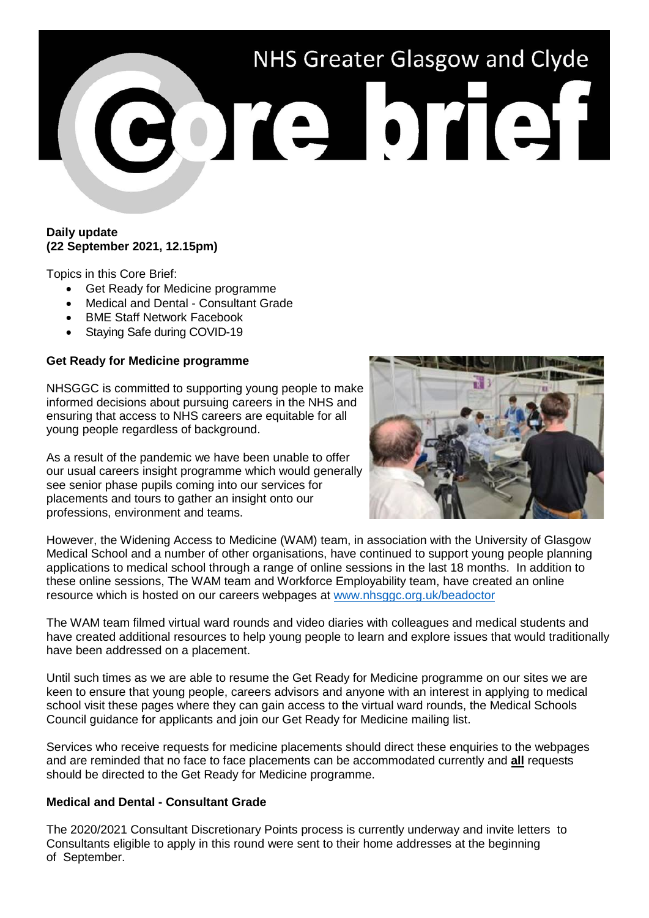# NHS Greater Glasgow and Clyde COTA DTEI

#### **Daily update (22 September 2021, 12.15pm)**

Topics in this Core Brief:

- Get Ready for Medicine programme
- Medical and Dental Consultant Grade
- BME Staff Network Facebook
- Staying Safe during COVID-19

# **Get Ready for Medicine programme**

NHSGGC is committed to supporting young people to make informed decisions about pursuing careers in the NHS and ensuring that access to NHS careers are equitable for all young people regardless of background.

As a result of the pandemic we have been unable to offer our usual careers insight programme which would generally see senior phase pupils coming into our services for placements and tours to gather an insight onto our professions, environment and teams.



However, the Widening Access to Medicine (WAM) team, in association with the University of Glasgow Medical School and a number of other organisations, have continued to support young people planning applications to medical school through a range of online sessions in the last 18 months. In addition to these online sessions, The WAM team and Workforce Employability team, have created an online resource which is hosted on our careers webpages at [www.nhsggc.org.uk/beadoctor](http://www.nhsggc.org.uk/beadoctor)

The WAM team filmed virtual ward rounds and video diaries with colleagues and medical students and have created additional resources to help young people to learn and explore issues that would traditionally have been addressed on a placement.

Until such times as we are able to resume the Get Ready for Medicine programme on our sites we are keen to ensure that young people, careers advisors and anyone with an interest in applying to medical school visit these pages where they can gain access to the virtual ward rounds, the Medical Schools Council guidance for applicants and join our Get Ready for Medicine mailing list.

Services who receive requests for medicine placements should direct these enquiries to the webpages and are reminded that no face to face placements can be accommodated currently and **all** requests should be directed to the Get Ready for Medicine programme.

### **Medical and Dental - Consultant Grade**

The 2020/2021 Consultant Discretionary Points process is currently underway and invite letters to Consultants eligible to apply in this round were sent to their home addresses at the beginning of September.